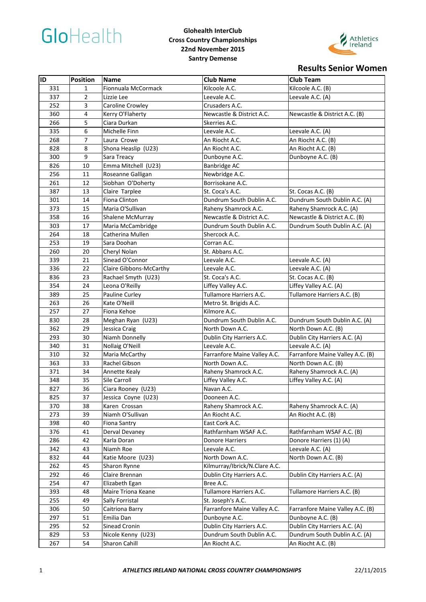

#### **Glohealth InterClub Cross Country Championships 22nd November 2015 Santry Demense**



# **Results Senior Women**

| <b>ID</b> | <b>Position</b> | <b>Name</b>             | <b>Club Name</b>              | <b>Club Team</b>                 |
|-----------|-----------------|-------------------------|-------------------------------|----------------------------------|
| 331       | 1               | Fionnuala McCormack     | Kilcoole A.C.                 | Kilcoole A.C. (B)                |
| 337       | 2               | Lizzie Lee              | Leevale A.C.                  | Leevale A.C. (A)                 |
| 252       | 3               | Caroline Crowley        | Crusaders A.C.                |                                  |
| 360       | 4               | Kerry O'Flaherty        | Newcastle & District A.C.     | Newcastle & District A.C. (B)    |
| 266       | 5               | Ciara Durkan            | Skerries A.C.                 |                                  |
| 335       | 6               | Michelle Finn           | Leevale A.C.                  | Leevale A.C. (A)                 |
| 268       | 7               | Laura Crowe             | An Riocht A.C.                | An Riocht A.C. (B)               |
| 828       | 8               | Shona Heaslip (U23)     | An Riocht A.C.                | An Riocht A.C. (B)               |
| 300       | 9               | Sara Treacy             | Dunboyne A.C.                 | Dunboyne A.C. (B)                |
| 826       | 10              | Emma Mitchell (U23)     | <b>Banbridge AC</b>           |                                  |
| 256       | 11              | Roseanne Galligan       | Newbridge A.C.                |                                  |
| 261       | 12              | Siobhan O'Doherty       | Borrisokane A.C.              |                                  |
| 387       | 13              | Claire Tarplee          | St. Coca's A.C.               | St. Cocas A.C. (B)               |
| 301       | 14              | Fiona Clinton           | Dundrum South Dublin A.C.     | Dundrum South Dublin A.C. (A)    |
| 373       | 15              | Maria O'Sullivan        | Raheny Shamrock A.C.          | Raheny Shamrock A.C. (A)         |
| 358       | 16              | Shalene McMurray        | Newcastle & District A.C.     | Newcastle & District A.C. (B)    |
| 303       | 17              | Maria McCambridge       | Dundrum South Dublin A.C.     | Dundrum South Dublin A.C. (A)    |
| 264       | 18              | Catherina Mullen        | Shercock A.C.                 |                                  |
| 253       | 19              | Sara Doohan             | Corran A.C.                   |                                  |
| 260       | 20              | Cheryl Nolan            | St. Abbans A.C.               |                                  |
| 339       | 21              | Sinead O'Connor         | Leevale A.C.                  | Leevale A.C. (A)                 |
| 336       | 22              | Claire Gibbons-McCarthy | Leevale A.C.                  | Leevale A.C. (A)                 |
| 836       | 23              | Rachael Smyth (U23)     | St. Coca's A.C.               | St. Cocas A.C. (B)               |
| 354       | 24              | Leona O'Reilly          | Liffey Valley A.C.            | Liffey Valley A.C. (A)           |
| 389       | 25              | Pauline Curley          | Tullamore Harriers A.C.       | Tullamore Harriers A.C. (B)      |
| 263       | 26              | Kate O'Neill            | Metro St. Brigids A.C.        |                                  |
| 257       | 27              | Fiona Kehoe             | Kilmore A.C.                  |                                  |
| 830       | 28              | Meghan Ryan (U23)       | Dundrum South Dublin A.C.     | Dundrum South Dublin A.C. (A)    |
| 362       | 29              | Jessica Craig           | North Down A.C.               | North Down A.C. (B)              |
| 293       | 30              | Niamh Donnelly          | Dublin City Harriers A.C.     | Dublin City Harriers A.C. (A)    |
| 340       | 31              | Nollaig O'Neill         | Leevale A.C.                  | Leevale A.C. (A)                 |
| 310       | 32              | Maria McCarthy          | Farranfore Maine Valley A.C.  | Farranfore Maine Valley A.C. (B) |
| 363       | 33              | Rachel Gibson           | North Down A.C.               | North Down A.C. (B)              |
| 371       | 34              | Annette Kealy           | Raheny Shamrock A.C.          | Raheny Shamrock A.C. (A)         |
| 348       | 35              | Sile Carroll            | Liffey Valley A.C.            | Liffey Valley A.C. (A)           |
| 827       | 36              | Ciara Rooney (U23)      | Navan A.C.                    |                                  |
| 825       | 37              | Jessica Coyne (U23)     | Dooneen A.C.                  |                                  |
| 370       | 38              | Karen Crossan           | Raheny Shamrock A.C.          | Raheny Shamrock A.C. (A)         |
| 273       | 39              | Niamh O'Sullivan        | An Riocht A.C.                | An Riocht A.C. (B)               |
| 398       | 40              | Fiona Santry            | East Cork A.C.                |                                  |
| 376       | 41              | Derval Devaney          | Rathfarnham WSAF A.C.         | Rathfarnham WSAF A.C. (B)        |
| 286       | 42              | Karla Doran             | Donore Harriers               | Donore Harriers (1) (A)          |
| 342       | 43              | Niamh Roe               | Leevale A.C.                  | Leevale A.C. (A)                 |
| 832       | 44              | Katie Moore (U23)       | North Down A.C.               | North Down A.C. (B)              |
| 262       | 45              | Sharon Rynne            | Kilmurray/Ibrick/N.Clare A.C. |                                  |
| 292       | 46              | Claire Brennan          | Dublin City Harriers A.C.     | Dublin City Harriers A.C. (A)    |
| 254       | 47              | Elizabeth Egan          | Bree A.C.                     |                                  |
| 393       | 48              | Maire Triona Keane      | Tullamore Harriers A.C.       | Tullamore Harriers A.C. (B)      |
| 255       | 49              | Sally Forristal         | St. Joseph's A.C.             |                                  |
| 306       | 50              | Caitriona Barry         | Farranfore Maine Valley A.C.  | Farranfore Maine Valley A.C. (B) |
| 297       | 51              | Emilia Dan              | Dunboyne A.C.                 | Dunboyne A.C. (B)                |
| 295       | 52              | Sinead Cronin           | Dublin City Harriers A.C.     | Dublin City Harriers A.C. (A)    |
| 829       | 53              | Nicole Kenny (U23)      | Dundrum South Dublin A.C.     | Dundrum South Dublin A.C. (A)    |
| 267       | 54              | Sharon Cahill           | An Riocht A.C.                | An Riocht A.C. (B)               |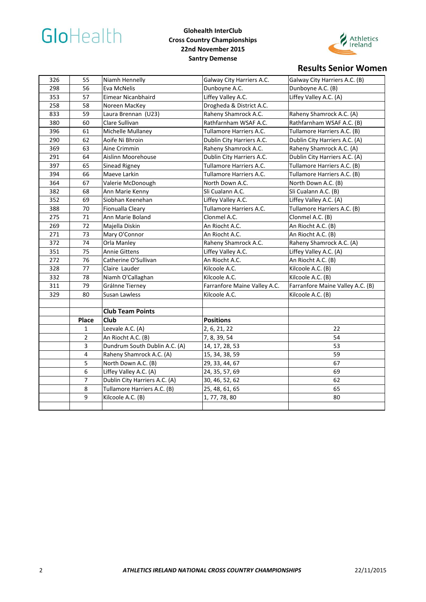

#### **Glohealth InterClub Cross Country Championships 22nd November 2015 Santry Demense**



# **Results Senior Women**

| 326 | 55             | Niamh Hennelly                | Galway City Harriers A.C.    | Galway City Harriers A.C. (B)    |
|-----|----------------|-------------------------------|------------------------------|----------------------------------|
| 298 | 56             | Eva McNelis                   | Dunboyne A.C.                | Dunboyne A.C. (B)                |
| 353 | 57             | Eimear Nicanbhaird            | Liffey Valley A.C.           | Liffey Valley A.C. (A)           |
| 258 | 58             | Noreen MacKey                 | Drogheda & District A.C.     |                                  |
| 833 | 59             | Laura Brennan (U23)           | Raheny Shamrock A.C.         | Raheny Shamrock A.C. (A)         |
| 380 | 60             | Clare Sullivan                | Rathfarnham WSAF A.C.        | Rathfarnham WSAF A.C. (B)        |
| 396 | 61             | Michelle Mullaney             | Tullamore Harriers A.C.      | Tullamore Harriers A.C. (B)      |
| 290 | 62             | Aoife Ni Bhroin               | Dublin City Harriers A.C.    | Dublin City Harriers A.C. (A)    |
| 369 | 63             | Aine Crimmin                  | Raheny Shamrock A.C.         | Raheny Shamrock A.C. (A)         |
| 291 | 64             | Aislinn Moorehouse            | Dublin City Harriers A.C.    | Dublin City Harriers A.C. (A)    |
| 397 | 65             | Sinead Rigney                 | Tullamore Harriers A.C.      | Tullamore Harriers A.C. (B)      |
| 394 | 66             | Maeve Larkin                  | Tullamore Harriers A.C.      | Tullamore Harriers A.C. (B)      |
| 364 | 67             | Valerie McDonough             | North Down A.C.              | North Down A.C. (B)              |
| 382 | 68             | Ann Marie Kenny               | Sli Cualann A.C.             | Sli Cualann A.C. (B)             |
| 352 | 69             | Siobhan Keenehan              | Liffey Valley A.C.           | Liffey Valley A.C. (A)           |
| 388 | 70             | Fionualla Cleary              | Tullamore Harriers A.C.      | Tullamore Harriers A.C. (B)      |
| 275 | 71             | Ann Marie Boland              | Clonmel A.C.                 | Clonmel A.C. (B)                 |
| 269 | 72             | Majella Diskin                | An Riocht A.C.               | An Riocht A.C. (B)               |
| 271 | 73             | Mary O'Connor                 | An Riocht A.C.               | An Riocht A.C. (B)               |
| 372 | 74             | Orla Manley                   | Raheny Shamrock A.C.         | Raheny Shamrock A.C. (A)         |
| 351 | 75             | <b>Annie Gittens</b>          | Liffey Valley A.C.           | Liffey Valley A.C. (A)           |
| 272 | 76             | Catherine O'Sullivan          | An Riocht A.C.               | An Riocht A.C. (B)               |
| 328 | 77             | Claire Lauder                 | Kilcoole A.C.                | Kilcoole A.C. (B)                |
| 332 | 78             | Niamh O'Callaghan             | Kilcoole A.C.                | Kilcoole A.C. (B)                |
| 311 | 79             | Grálnne Tierney               | Farranfore Maine Valley A.C. | Farranfore Maine Valley A.C. (B) |
| 329 | 80             | Susan Lawless                 | Kilcoole A.C.                | Kilcoole A.C. (B)                |
|     |                |                               |                              |                                  |
|     |                | <b>Club Team Points</b>       |                              |                                  |
|     | Place          | Club                          | <b>Positions</b>             |                                  |
|     | 1              | Leevale A.C. (A)              | 2, 6, 21, 22                 | 22                               |
|     | $\overline{2}$ | An Riocht A.C. (B)            | 7, 8, 39, 54                 | 54                               |
|     | 3              | Dundrum South Dublin A.C. (A) | 14, 17, 28, 53               | 53                               |
|     | 4              | Raheny Shamrock A.C. (A)      | 15, 34, 38, 59               | 59                               |
|     | 5              | North Down A.C. (B)           | 29, 33, 44, 67               | 67                               |
|     | 6              | Liffey Valley A.C. (A)        | 24, 35, 57, 69               | 69                               |
|     | 7              | Dublin City Harriers A.C. (A) | 30, 46, 52, 62               | 62                               |
|     | 8              | Tullamore Harriers A.C. (B)   | 25, 48, 61, 65               | 65                               |
|     | 9              | Kilcoole A.C. (B)             | 1, 77, 78, 80                | 80                               |
|     |                |                               |                              |                                  |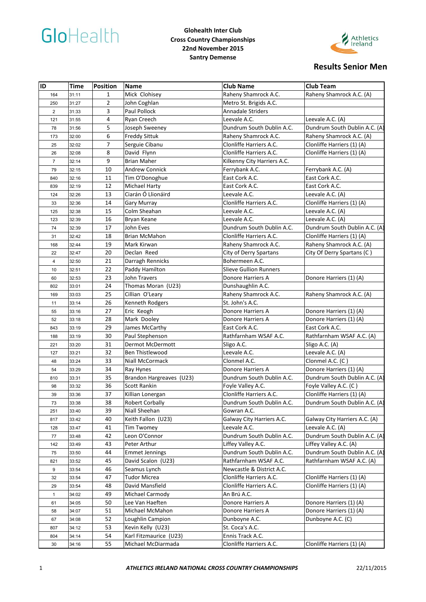# GloHealth

#### **Glohealth Inter Club Cross Country Championships 22nd November 2015 Santry Demense**



| ID                      | Time           | Position       | <b>Name</b>              | <b>Club Name</b>              | <b>Club Team</b>              |
|-------------------------|----------------|----------------|--------------------------|-------------------------------|-------------------------------|
| 164                     | 31:11          | 1              | Mick Clohisey            | Raheny Shamrock A.C.          | Raheny Shamrock A.C. (A)      |
| 250                     | 31:27          | $\overline{2}$ | John Coghlan             | Metro St. Brigids A.C.        |                               |
| $\overline{2}$          | 31:33          | 3              | Paul Pollock             | <b>Annadale Striders</b>      |                               |
| 121                     | 31:55          | $\overline{4}$ | Ryan Creech              | Leevale A.C.                  | Leevale A.C. (A)              |
| 78                      | 31:56          | 5              | Joseph Sweeney           | Dundrum South Dublin A.C.     | Dundrum South Dublin A.C. (A) |
| 173                     | 32:00          | 6              | <b>Freddy Sittuk</b>     | Raheny Shamrock A.C.          | Raheny Shamrock A.C. (A)      |
| 25                      | 32:02          | 7              | Serguie Cibanu           | Clonliffe Harriers A.C.       | Clonliffe Harriers (1) (A)    |
| 26                      | 32:08          | 8              | David Flynn              | Clonliffe Harriers A.C.       | Clonliffe Harriers (1) (A)    |
| $\overline{7}$          | 32:14          | 9              | <b>Brian Maher</b>       | Kilkenny City Harriers A.C.   |                               |
| 79                      | 32:15          | 10             | <b>Andrew Connick</b>    | Ferrybank A.C.                | Ferrybank A.C. (A)            |
| 840                     | 32:16          | 11             | Tim O'Donoghue           | East Cork A.C.                | East Cork A.C.                |
| 839                     | 32:19          | 12             | <b>Michael Harty</b>     | East Cork A.C.                | East Cork A.C.                |
| 124                     | 32:26          | 13             | Ciarán Ó Llionáird       | Leevale A.C.                  | Leevale A.C. (A)              |
| 33                      | 32:36          | 14             | <b>Gary Murray</b>       | Clonliffe Harriers A.C.       | Clonliffe Harriers (1) (A)    |
| 125                     | 32:38          | 15             | Colm Sheahan             | Leevale A.C.                  | Leevale A.C. (A)              |
| 123                     | 32:39          | 16             | Bryan Keane              | Leevale A.C.                  | Leevale A.C. (A)              |
| 74                      | 32:39          | 17             | John Eves                | Dundrum South Dublin A.C.     | Dundrum South Dublin A.C. (A) |
| 31                      | 32:42          | 18             | Brian McMahon            | Clonliffe Harriers A.C.       | Clonliffe Harriers (1) (A)    |
| 168                     | 32:44          | 19             | Mark Kirwan              | Raheny Shamrock A.C.          | Raheny Shamrock A.C. (A)      |
| 22                      | 32:47          | 20             | Declan Reed              | City of Derry Spartans        | City Of Derry Spartans (C)    |
| $\overline{\mathbf{4}}$ | 32:50          | 21             | Darragh Rennicks         | Bohermeen A.C.                |                               |
| 10                      | 32:51          | 22             | Paddy Hamilton           | <b>Slieve Gullion Runners</b> |                               |
| 60                      | 32:53          | 23             | John Travers             | Donore Harriers A             | Donore Harriers (1) (A)       |
| 802                     | 33:01          | 24             | Thomas Moran (U23)       | Dunshaughlin A.C.             |                               |
| 169                     | 33:03          | 25             | Cillian O'Leary          | Raheny Shamrock A.C.          | Raheny Shamrock A.C. (A)      |
| 11                      | 33:14          | 26             | Kenneth Rodgers          | St. John's A.C.               |                               |
| 55                      | 33:16          | 27             | Eric Keogh               | Donore Harriers A             | Donore Harriers (1) (A)       |
| 52                      | 33:18          | 28             | Mark Dooley              | Donore Harriers A             | Donore Harriers (1) (A)       |
| 843                     | 33:19          | 29             | James McCarthy           | East Cork A.C.                | East Cork A.C.                |
| 188                     | 33:19          | 30             | Paul Stephenson          | Rathfarnham WSAF A.C.         | Rathfarnham WSAF A.C. (A)     |
| 221                     | 33:20          | 31             | Dermot McDermott         | Sligo A.C.                    | Sligo A.C. (A)                |
| 127                     | 33:21          | 32             | Ben Thistlewood          | Leevale A.C.                  | Leevale A.C. (A)              |
| 48                      | 33:24          | 33             | Niall McCormack          | Clonmel A.C.                  | Clonmel A.C. (C)              |
| 54                      | 33:29          | 34             | Ray Hynes                | Donore Harriers A             | Donore Harriers (1) (A)       |
| 810                     | 33:31          | 35             | Brandon Hargreaves (U23) | Dundrum South Dublin A.C.     | Dundrum South Dublin A.C. (A) |
| 98                      | 33:32          | 36             | <b>Scott Rankin</b>      | Foyle Valley A.C.             | Foyle Valley A.C. (C)         |
| 39                      | 33:36          | 37             | Killian Lonergan         | Clonliffe Harriers A.C.       | Clonliffe Harriers (1) (A)    |
| 73                      | 33:38          | 38             | <b>Robert Corbally</b>   | Dundrum South Dublin A.C.     | Dundrum South Dublin A.C. (A) |
| 251                     | 33:40          | 39             | Niall Sheehan            | Gowran A.C.                   |                               |
| 817                     | 33:42          | 40             | Keith Fallon (U23)       | Galway City Harriers A.C.     | Galway City Harriers A.C. (A) |
| 128                     | 33:47          | 41             | <b>Tim Twomey</b>        | Leevale A.C.                  | Leevale A.C. (A)              |
| 77                      | 33:48          | 42             | Leon O'Connor            | Dundrum South Dublin A.C.     | Dundrum South Dublin A.C. (A) |
| 142                     | 33:49          | 43             | Peter Arthur             | Liffey Valley A.C.            | Liffey Valley A.C. (A)        |
| 75                      | 33:50          | 44             | <b>Emmet Jennings</b>    | Dundrum South Dublin A.C.     | Dundrum South Dublin A.C. (A) |
| 821                     | 33:52          | 45             | David Scalon (U23)       | Rathfarnham WSAF A.C.         | Rathfarnham WSAF A.C. (A)     |
| 9                       | 33:54          | 46             | Seamus Lynch             | Newcastle & District A.C.     |                               |
| 32                      |                | 47             | <b>Tudor Micrea</b>      | Clonliffe Harriers A.C.       | Clonliffe Harriers (1) (A)    |
|                         | 33:54<br>33:54 | 48             | David Mansfield          | Clonliffe Harriers A.C.       | Clonliffe Harriers (1) (A)    |
| 29                      |                | 49             | Michael Carmody          | An Brú A.C.                   |                               |
| $\mathbf{1}$            | 34:02          |                |                          |                               |                               |
| 61                      | 34:05          | 50             | Lee Van Haeften          | Donore Harriers A             | Donore Harriers (1) (A)       |
| 58                      | 34:07          | 51             | Michael McMahon          | Donore Harriers A             | Donore Harriers (1) (A)       |
| 67                      | 34:08          | 52             | Loughlin Campion         | Dunboyne A.C.                 | Dunboyne A.C. (C)             |
| 807                     | 34:12          | 53             | Kevin Kelly (U23)        | St. Coca's A.C.               |                               |
| 804                     | 34:14          | 54             | Karl Fitzmaurice (U23)   | Ennis Track A.C.              |                               |
| 30                      | 34:16          | 55             | Michael McDiarmada       | Clonliffe Harriers A.C.       | Clonliffe Harriers (1) (A)    |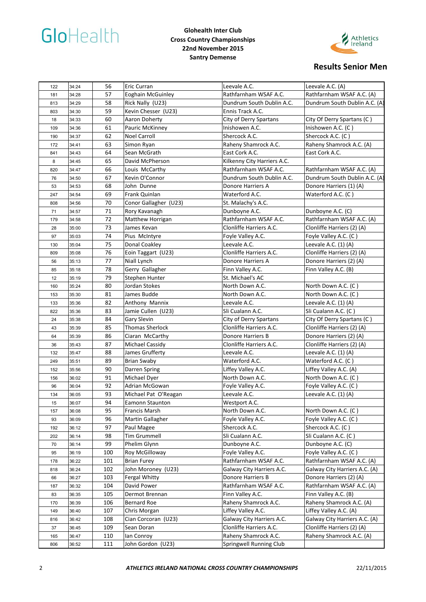# GloHealth

#### **Glohealth Inter Club Cross Country Championships 22nd November 2015 Santry Demense**



| 122 | 34:24          | 56  | Eric Curran                       | Leevale A.C.                | Leevale A.C. (A)              |
|-----|----------------|-----|-----------------------------------|-----------------------------|-------------------------------|
| 181 | 34:28          | 57  | <b>Eoghain McGuinley</b>          | Rathfarnham WSAF A.C.       | Rathfarnham WSAF A.C. (A)     |
| 813 | 34:29          | 58  | Rick Nally (U23)                  | Dundrum South Dublin A.C.   | Dundrum South Dublin A.C. (A) |
| 803 | 34:30          | 59  | Kevin Chesser (U23)               | Ennis Track A.C.            |                               |
| 18  | 34:33          | 60  | Aaron Doherty                     | City of Derry Spartans      | City Of Derry Spartans (C)    |
| 109 | 34:36          | 61  | Pauric McKinney                   | Inishowen A.C.              | Inishowen A.C. (C)            |
| 190 | 34:37          | 62  | Noel Carroll                      | Shercock A.C.               | Shercock A.C. (C)             |
| 172 | 34:41          | 63  | Simon Ryan                        | Raheny Shamrock A.C.        | Raheny Shamrock A.C. (A)      |
| 841 | 34:43          | 64  | Sean McGrath                      | East Cork A.C.              | East Cork A.C.                |
| 8   | 34:45          | 65  | David McPherson                   | Kilkenny City Harriers A.C. |                               |
| 820 | 34:47          | 66  | Louis McCarthy                    | Rathfarnham WSAF A.C.       | Rathfarnham WSAF A.C. (A)     |
| 76  | 34:50          | 67  | Kevin O'Connor                    | Dundrum South Dublin A.C.   | Dundrum South Dublin A.C. (A) |
| 53  | 34:53          | 68  | John Dunne                        | Donore Harriers A           | Donore Harriers (1) (A)       |
| 247 | 34:54          | 69  | Frank Quinlan                     | Waterford A.C.              | Waterford A.C. (C)            |
| 808 | 34:56          | 70  | Conor Gallagher (U23)             | St. Malachy's A.C.          |                               |
| 71  | 34:57          | 71  | Rory Kavanagh                     | Dunboyne A.C.               | Dunboyne A.C. (C)             |
| 179 | 34:58          | 72  | Matthew Horrigan                  | Rathfarnham WSAF A.C.       | Rathfarnham WSAF A.C. (A)     |
| 28  | 35:00          | 73  | James Kevan                       | Clonliffe Harriers A.C.     | Clonliffe Harriers (2) (A)    |
| 97  | 35:03          | 74  | Pius McIntyre                     | Foyle Valley A.C.           | Foyle Valley A.C. (C)         |
| 130 | 35:04          | 75  | Donal Coakley                     | Leevale A.C.                | Leevale A.C. (1) (A)          |
| 809 | 35:08          | 76  | Eoin Taggart (U23)                | Clonliffe Harriers A.C.     | Clonliffe Harriers (2) (A)    |
| 56  | 35:13          | 77  | Niall Lynch                       | Donore Harriers A           | Donore Harriers (2) (A)       |
| 85  | 35:18          | 78  | Gerry Gallagher                   | Finn Valley A.C.            | Finn Valley A.C. (B)          |
| 12  | 35:19          | 79  | Stephen Hunter                    | St. Michael's AC            |                               |
| 160 | 35:24          | 80  | Jordan Stokes                     | North Down A.C.             | North Down A.C. (C)           |
| 153 | 35:30          | 81  | James Budde                       | North Down A.C.             | North Down A.C. (C)           |
| 133 | 35:36          | 82  | Anthony Mannix                    | Leevale A.C.                | Leevale A.C. $(1)$ $(A)$      |
| 822 | 35:36          | 83  | Jamie Cullen (U23)                | Sli Cualann A.C.            | Sli Cualann A.C. (C)          |
| 24  | 35:38          | 84  | Gary Slevin                       | City of Derry Spartans      | City Of Derry Spartans (C)    |
| 43  | 35:39          | 85  | <b>Thomas Sherlock</b>            | Clonliffe Harriers A.C.     | Clonliffe Harriers (2) (A)    |
| 64  | 35:39          | 86  | Ciaran McCarthy                   | Donore Harriers B           | Donore Harriers (2) (A)       |
| 36  | 35:43          | 87  | Michael Cassidy                   | Clonliffe Harriers A.C.     | Clonliffe Harriers (2) (A)    |
| 132 | 35:47          | 88  | James Grufferty                   | Leevale A.C.                | Leevale A.C. $(1)$ $(A)$      |
| 249 | 35:51          | 89  | <b>Brian Swaby</b>                | Waterford A.C.              | Waterford A.C. (C)            |
| 152 | 35:56          | 90  | Darren Spring                     | Liffey Valley A.C.          | Liffey Valley A.C. (A)        |
| 156 | 36:02          | 91  | Michael Dyer                      | North Down A.C.             | North Down A.C. (C)           |
| 96  | 36:04          | 92  | Adrian McGowan                    | Foyle Valley A.C.           | Foyle Valley A.C. (C)         |
| 134 | 36:05          | 93  | Michael Pat O'Reagan              | Leevale A.C.                | Leevale A.C. (1) (A)          |
| 15  | 36:07          | 94  | Eamonn Staunton                   | Westport A.C.               |                               |
|     |                | 95  | Francis Marsh                     | North Down A.C.             | North Down A.C. (C)           |
| 157 | 36:08<br>36:09 | 96  | Martin Gallagher                  | Foyle Valley A.C.           | Foyle Valley A.C. (C)         |
| 93  |                | 97  |                                   | Shercock A.C.               | Shercock A.C. (C)             |
| 192 | 36:12          | 98  | Paul Magee<br><b>Tim Grummell</b> | Sli Cualann A.C.            | Sli Cualann A.C. (C)          |
| 202 | 36:14          |     |                                   | Dunboyne A.C.               |                               |
| 70  | 36:14          | 99  | Phelim Glynn                      |                             | Dunboyne A.C. (C)             |
| 95  | 36:19          | 100 | Roy McGilloway                    | Foyle Valley A.C.           | Foyle Valley A.C. (C)         |
| 178 | 36:22          | 101 | <b>Brian Furey</b>                | Rathfarnham WSAF A.C.       | Rathfarnham WSAF A.C. (A)     |
| 818 | 36:24          | 102 | John Moroney (U23)                | Galway City Harriers A.C.   | Galway City Harriers A.C. (A) |
| 66  | 36:27          | 103 | Fergal Whitty                     | Donore Harriers B           | Donore Harriers (2) (A)       |
| 187 | 36:32          | 104 | David Power                       | Rathfarnham WSAF A.C.       | Rathfarnham WSAF A.C. (A)     |
| 83  | 36:35          | 105 | Dermot Brennan                    | Finn Valley A.C.            | Finn Valley A.C. (B)          |
| 170 | 36:39          | 106 | <b>Bernard Roe</b>                | Raheny Shamrock A.C.        | Raheny Shamrock A.C. (A)      |
| 149 | 36:40          | 107 | Chris Morgan                      | Liffey Valley A.C.          | Liffey Valley A.C. (A)        |
| 816 | 36:42          | 108 | Cian Corcoran (U23)               | Galway City Harriers A.C.   | Galway City Harriers A.C. (A) |
| 37  | 36:45          | 109 | Sean Doran                        | Clonliffe Harriers A.C.     | Clonliffe Harriers (2) (A)    |
| 165 | 36:47          | 110 | lan Conroy                        | Raheny Shamrock A.C.        | Raheny Shamrock A.C. (A)      |
| 806 | 36:52          | 111 | John Gordon (U23)                 | Springwell Running Club     |                               |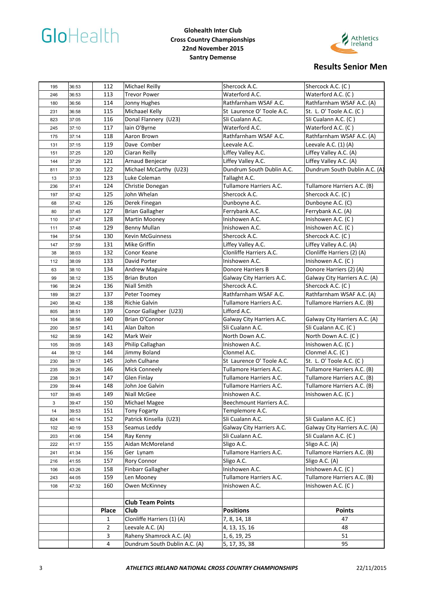# GloHealth

#### **Glohealth Inter Club Cross Country Championships 22nd November 2015 Santry Demense**



| 195 | 36:53 | 112            | Michael Reilly                | Shercock A.C.             | Shercock A.C. (C)             |
|-----|-------|----------------|-------------------------------|---------------------------|-------------------------------|
| 246 | 36:53 | 113            | <b>Trevor Power</b>           | Waterford A.C.            | Waterford A.C. (C)            |
| 180 | 36:56 | 114            | Jonny Hughes                  | Rathfarnham WSAF A.C.     | Rathfarnham WSAF A.C. (A)     |
| 231 | 36:58 | 115            | Michaael Kelly                | St Laurence O' Toole A.C. | St. L. O' Toole A.C. (C)      |
| 823 | 37:05 | 116            | Donal Flannery (U23)          | Sli Cualann A.C.          | Sli Cualann A.C. (C)          |
| 245 | 37:10 | 117            | lain O'Byrne                  | Waterford A.C.            | Waterford A.C. (C)            |
| 175 | 37:14 | 118            | Aaron Brown                   | Rathfarnham WSAF A.C.     | Rathfarnham WSAF A.C. (A)     |
| 131 | 37:15 | 119            | Dave Comber                   | Leevale A.C.              | Leevale A.C. (1) (A)          |
| 151 | 37:25 | 120            | Ciaran Reilly                 | Liffey Valley A.C.        | Liffey Valley A.C. (A)        |
| 144 | 37:29 | 121            | Arnaud Benjecar               | Liffey Valley A.C.        | Liffey Valley A.C. (A)        |
| 811 | 37:30 | 122            | Michael McCarthy (U23)        | Dundrum South Dublin A.C. | Dundrum South Dublin A.C. (A) |
| 13  | 37:33 | 123            | Luke Coleman                  | Tallaght A.C.             |                               |
| 236 | 37:41 | 124            | Christie Donegan              | Tullamore Harriers A.C.   | Tullamore Harriers A.C. (B)   |
| 197 | 37:42 | 125            | John Whelan                   | Shercock A.C.             | Shercock A.C. (C)             |
| 68  | 37:42 | 126            | Derek Finegan                 | Dunboyne A.C.             | Dunboyne A.C. (C)             |
| 80  | 37:45 | 127            | <b>Brian Gallagher</b>        | Ferrybank A.C.            | Ferrybank A.C. (A)            |
| 110 | 37:47 | 128            | Martin Mooney                 | Inishowen A.C.            | Inishowen A.C. (C)            |
| 111 | 37:48 | 129            | Benny Mullan                  | Inishowen A.C.            | Inishowen A.C. (C)            |
| 194 | 37:54 | 130            | <b>Kevin McGuinness</b>       | Shercock A.C.             | Shercock A.C. (C)             |
| 147 | 37:59 | 131            | Mike Griffin                  | Liffey Valley A.C.        | Liffey Valley A.C. (A)        |
| 38  | 38:03 | 132            | Conor Keane                   | Clonliffe Harriers A.C.   | Clonliffe Harriers (2) (A)    |
| 112 | 38:09 | 133            | David Porter                  | Inishowen A.C.            | Inishowen A.C. (C)            |
| 63  | 38:10 | 134            | <b>Andrew Maguire</b>         | <b>Donore Harriers B</b>  | Donore Harriers (2) (A)       |
| 99  | 38:12 | 135            | <b>Brian Bruton</b>           | Galway City Harriers A.C. | Galway City Harriers A.C. (A) |
| 196 | 38:24 | 136            | Niall Smith                   | Shercock A.C.             | Shercock A.C. (C)             |
| 189 | 38:27 | 137            | Peter Toomey                  | Rathfarnham WSAF A.C.     | Rathfarnham WSAF A.C. (A)     |
| 240 | 38:42 | 138            | Richie Galvin                 | Tullamore Harriers A.C.   | Tullamore Harriers A.C. (B)   |
| 805 | 38:51 | 139            | Conor Gallagher (U23)         | Lifford A.C.              |                               |
| 104 | 38:56 | 140            | Brian O'Connor                | Galway City Harriers A.C. | Galway City Harriers A.C. (A) |
| 200 | 38:57 | 141            | Alan Dalton                   | Sli Cualann A.C.          | Sli Cualann A.C. (C)          |
| 162 | 38:59 | 142            | Mark Weir                     | North Down A.C.           | North Down A.C. (C)           |
| 105 | 39:05 | 143            | Philip Callaghan              | Inishowen A.C.            | Inishowen A.C. (C)            |
| 44  | 39:12 | 144            | Jimmy Boland                  | Clonmel A.C.              | Clonmel A.C. (C)              |
| 230 | 39:17 | 145            | John Culhane                  | St Laurence O' Toole A.C. | St. L. O' Toole A.C. (C)      |
| 235 | 39:26 | 146            | Mick Conneely                 | Tullamore Harriers A.C.   | Tullamore Harriers A.C. (B)   |
| 238 | 39:31 | 147            | Glen Finlay                   | Tullamore Harriers A.C.   | Tullamore Harriers A.C. (B)   |
| 239 | 39:44 | 148            | John Joe Galvin               | Tullamore Harriers A.C.   | Tullamore Harriers A.C. (B)   |
| 107 | 39:45 | 149            | Niall McGee                   | Inishowen A.C.            | Inishowen A.C. (C)            |
| 3   | 39:47 | 150            | Michael Magee                 | Beechmount Harriers A.C.  |                               |
| 14  | 39:53 | 151            | <b>Tony Fogarty</b>           | Templemore A.C.           |                               |
| 824 | 40:14 | 152            | Patrick Kinsella (U23)        | Sli Cualann A.C.          | Sli Cualann A.C. (C)          |
| 102 | 40:19 | 153            | Seamus Leddy                  | Galway City Harriers A.C. | Galway City Harriers A.C. (A) |
| 203 | 41:06 | 154            | Ray Kenny                     | Sli Cualann A.C.          | Sli Cualann A.C. (C)          |
| 222 | 41:17 | 155            | Aidan McMoreland              | Sligo A.C.                | Sligo A.C. (A)                |
| 241 | 41:34 | 156            | Ger Lynam                     | Tullamore Harriers A.C.   | Tullamore Harriers A.C. (B)   |
| 216 | 41:55 | 157            | Rory Connor                   | Sligo A.C.                | Sligo A.C. (A)                |
| 106 | 43:26 | 158            | Finbarr Gallagher             | Inishowen A.C.            | Inishowen A.C. (C)            |
| 243 | 44:05 | 159            | Len Mooney                    | Tullamore Harriers A.C.   | Tullamore Harriers A.C. (B)   |
| 108 | 47:32 | 160            | Owen McKinney                 | Inishowen A.C.            | Inishowen A.C. (C)            |
|     |       |                |                               |                           |                               |
|     |       |                | <b>Club Team Points</b>       |                           |                               |
|     |       | Place          | Club                          | <b>Positions</b>          | <b>Points</b>                 |
|     |       | 1              | Clonliffe Harriers (1) (A)    | 7, 8, 14, 18              | 47                            |
|     |       | $\overline{2}$ | Leevale A.C. (A)              | 4, 13, 15, 16             | 48                            |
|     |       | 3              | Raheny Shamrock A.C. (A)      | 1, 6, 19, 25              | 51                            |
|     |       | $\overline{4}$ | Dundrum South Dublin A.C. (A) | 5, 17, 35, 38             | 95                            |
|     |       |                |                               |                           |                               |